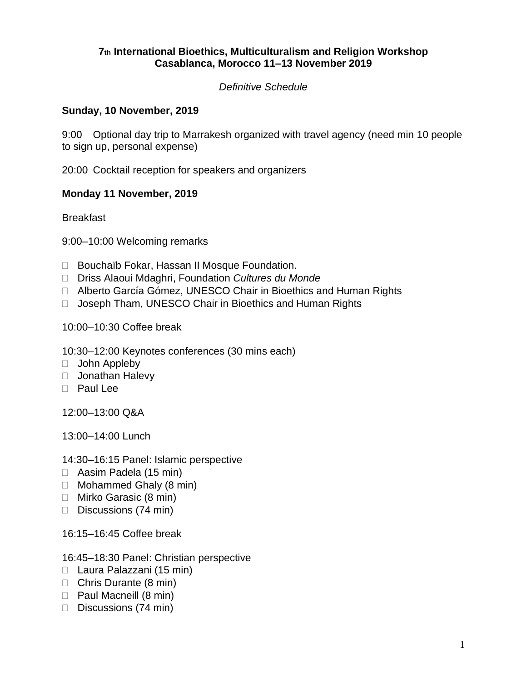### **7th International Bioethics, Multiculturalism and Religion Workshop Casablanca, Morocco 11–13 November 2019**

*Definitive Schedule*

#### **Sunday, 10 November, 2019**

9:00 Optional day trip to Marrakesh organized with travel agency (need min 10 people to sign up, personal expense)

20:00 Cocktail reception for speakers and organizers

### **Monday 11 November, 2019**

Breakfast

9:00–10:00 Welcoming remarks

- □ Bouchaïb Fokar, Hassan II Mosque Foundation.
- Driss Alaoui Mdaghri, Foundation *Cultures du Monde*
- □ Alberto García Gómez, UNESCO Chair in Bioethics and Human Rights
- □ Joseph Tham, UNESCO Chair in Bioethics and Human Rights

10:00–10:30 Coffee break

10:30–12:00 Keynotes conferences (30 mins each)

- $\Box$  John Appleby
- **Jonathan Halevy**
- Paul Lee

12:00–13:00 Q&A

13:00–14:00 Lunch

14:30–16:15 Panel: Islamic perspective

- □ Aasim Padela (15 min)
- $\Box$  Mohammed Ghaly (8 min)
- □ Mirko Garasic (8 min)
- $\Box$  Discussions (74 min)

16:15–16:45 Coffee break

16:45–18:30 Panel: Christian perspective

- □ Laura Palazzani (15 min)
- □ Chris Durante (8 min)
- $\Box$  Paul Macneill (8 min)
- $\Box$  Discussions (74 min)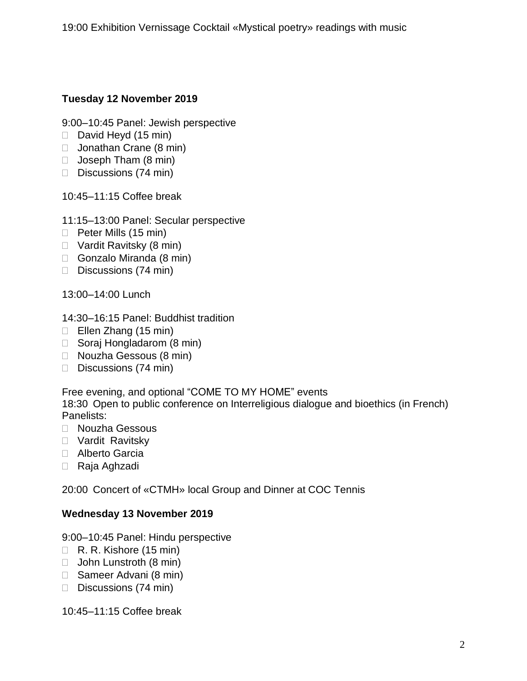# **Tuesday 12 November 2019**

9:00–10:45 Panel: Jewish perspective

- David Heyd (15 min)
- $\Box$  Jonathan Crane (8 min)
- $\Box$  Joseph Tham (8 min)
- Discussions (74 min)

10:45–11:15 Coffee break

11:15–13:00 Panel: Secular perspective

- **Peter Mills (15 min)**
- □ Vardit Ravitsky (8 min)
- Gonzalo Miranda (8 min)
- $\Box$  Discussions (74 min)

13:00–14:00 Lunch

14:30–16:15 Panel: Buddhist tradition

- $\Box$  Ellen Zhang (15 min)
- $\Box$  Soraj Hongladarom (8 min)
- □ Nouzha Gessous (8 min)
- Discussions (74 min)

Free evening, and optional "COME TO MY HOME" events

18:30 Open to public conference on Interreligious dialogue and bioethics (in French) Panelists:

- □ Nouzha Gessous
- □ Vardit Ravitsky
- □ Alberto Garcia
- Raja Aghzadi

20:00 Concert of «CTMH» local Group and Dinner at COC Tennis

## **Wednesday 13 November 2019**

9:00–10:45 Panel: Hindu perspective

- $\Box$  R. R. Kishore (15 min)
- $\Box$  John Lunstroth (8 min)
- □ Sameer Advani (8 min)
- Discussions (74 min)

10:45–11:15 Coffee break